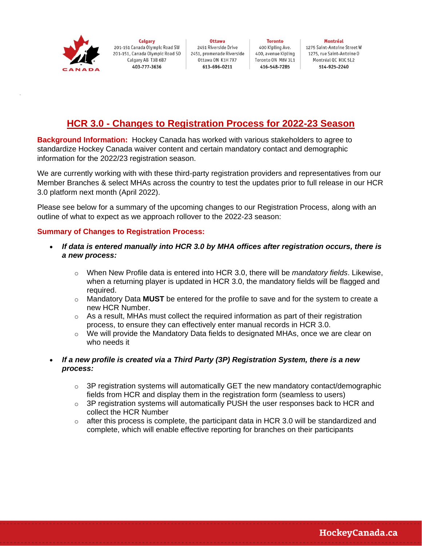

**Calgary** 201-151 Canada Olympic Road SW 201-151, Canada Olympic Road SO Calgary AB T3B 6B7 403-777-3636

Ottawa 2451 Riverside Drive 2451. promenade Riverside Ottawa ON K1H 7X7 613-696-0211

**Toronto** 400 Kipling Ave. 400, avenue Kipling Toronto ON M8V 3L1 416-548-7285

Montréal 1275 Saint-Antoine Street W 1275, rue Saint-Antoine 0 Montréal QC H3C 5L2 514-925-2240

## **HCR 3.0 - Changes to Registration Process for 2022-23 Season**

**Background Information:** Hockey Canada has worked with various stakeholders to agree to standardize Hockey Canada waiver content and certain mandatory contact and demographic information for the 2022/23 registration season.

We are currently working with with these third-party registration providers and representatives from our Member Branches & select MHAs across the country to test the updates prior to full release in our HCR 3.0 platform next month (April 2022).

Please see below for a summary of the upcoming changes to our Registration Process, along with an outline of what to expect as we approach rollover to the 2022-23 season:

## **Summary of Changes to Registration Process:**

- *If data is entered manually into HCR 3.0 by MHA offices after registration occurs, there is a new process:*
	- o When New Profile data is entered into HCR 3.0, there will be *mandatory fields*. Likewise, when a returning player is updated in HCR 3.0, the mandatory fields will be flagged and required.
	- o Mandatory Data **MUST** be entered for the profile to save and for the system to create a new HCR Number.
	- $\circ$  As a result, MHAs must collect the required information as part of their registration process, to ensure they can effectively enter manual records in HCR 3.0.
	- o We will provide the Mandatory Data fields to designated MHAs, once we are clear on who needs it
- *If a new profile is created via a Third Party (3P) Registration System, there is a new process:*
	- $\circ$  3P registration systems will automatically GET the new mandatory contact/demographic fields from HCR and display them in the registration form (seamless to users)
	- $\circ$  3P registration systems will automatically PUSH the user responses back to HCR and collect the HCR Number
	- $\circ$  after this process is complete, the participant data in HCR 3.0 will be standardized and complete, which will enable effective reporting for branches on their participants